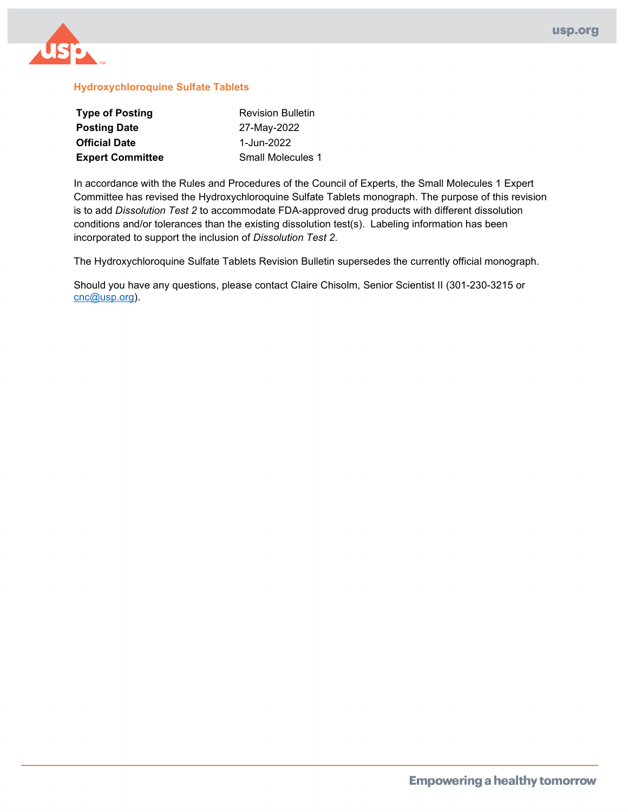

#### **Hydroxychloroquine Sulfate Tablets**

| <b>Type of Posting</b>  | <b>Revision Bulletin</b> |  |  |
|-------------------------|--------------------------|--|--|
| <b>Posting Date</b>     | 27-May-2022              |  |  |
| <b>Official Date</b>    | 1-Jun-2022               |  |  |
| <b>Expert Committee</b> | Small Molecules 1        |  |  |

In accordance with the Rules and Procedures of the Council of Experts, the Small Molecules 1 Expert Committee has revised the Hydroxychloroquine Sulfate Tablets monograph. The purpose of this revision is to add *Dissolution Test 2* to accommodate FDA-approved drug products with different dissolution conditions and/or tolerances than the existing dissolution test(s). Labeling information has been incorporated to support the inclusion of *Dissolution Test 2*.

The Hydroxychloroquine Sulfate Tablets Revision Bulletin supersedes the currently official monograph.

Should you have any questions, please contact Claire Chisolm, Senior Scientist II (301-230-3215 or [cnc@usp.org\)](mailto:cnc@usp.org).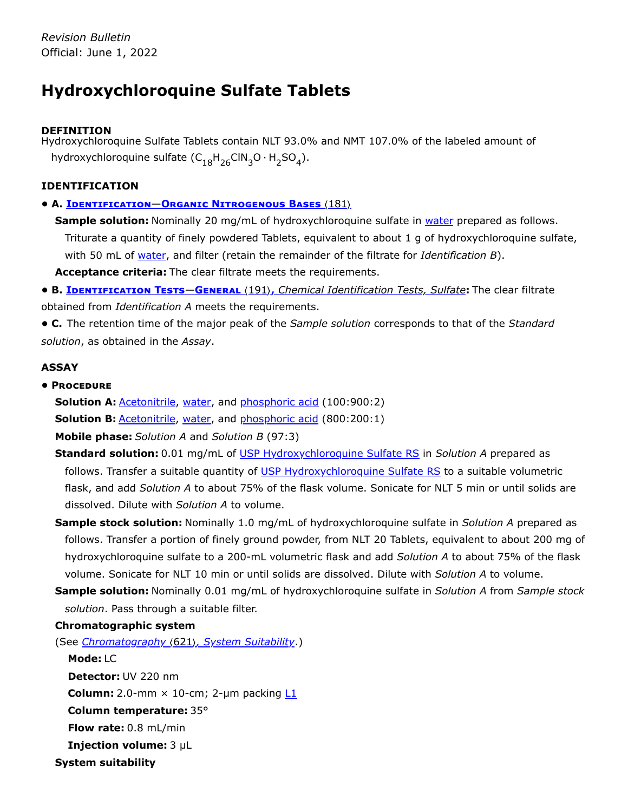# **Hydroxychloroquine Sulfate Tablets**

# **DEFINITION**

Hydroxychloroquine Sulfate Tablets contain NLT 93.0% and NMT 107.0% of the labeled amount of hydroxychloroquine sulfate  $(\mathsf{C}_{18}\mathsf{H}_{26}\mathsf{CIN}_{3}\mathsf{O}\cdot\mathsf{H}_{2}\mathsf{SO}_{4}).$ 

# **IDENTIFICATION**

**• A. Identification**—**Organic Nitrogenous Bases** 〈181〉

**Sample solution:** Nominally 20 mg/mL of hydroxychloroquine sulfate in water prepared as follows. Triturate a quantity of finely powdered Tablets, equivalent to about 1 g of hydroxychloroquine sulfate, with 50 mL of water, and filter (retain the remainder of the filtrate for *Identification B*).

**Acceptance criteria:** The clear filtrate meets the requirements.

**• B. Identification Tests**—**General** 〈191〉**,** *Chemical Identification Tests, Sulfate***:** The clear filtrate obtained from *Identification A* meets the requirements.

**• C.** The retention time of the major peak of the *Sample solution* corresponds to that of the *Standard solution*, as obtained in the *Assay*.

# **ASSAY**

# **• Procedure**

**Solution A: Acetonitrile, water, and phosphoric acid (100:900:2)** 

**Solution B: Acetonitrile, water, and phosphoric acid (800:200:1)** 

**Mobile phase:** *Solution A* and *Solution B* (97:3)

**Standard solution:** 0.01 mg/mL of [USP Hydroxychloroquine Sulfate RS](https://store.usp.org/searchresults?Ntt=1327000&searchType=simple&type=search) in *Solution A* prepared as follows. Transfer a suitable quantity of [USP Hydroxychloroquine Sulfate RS](https://store.usp.org/searchresults?Ntt=1327000&searchType=simple&type=search) to a suitable volumetric flask, and add *Solution A* to about 75% of the flask volume. Sonicate for NLT 5 min or until solids are dissolved. Dilute with *Solution A* to volume.

- **Sample stock solution:** Nominally 1.0 mg/mL of hydroxychloroquine sulfate in *Solution A* prepared as follows. Transfer a portion of finely ground powder, from NLT 20 Tablets, equivalent to about 200 mg of hydroxychloroquine sulfate to a 200-mL volumetric flask and add *Solution A* to about 75% of the flask volume. Sonicate for NLT 10 min or until solids are dissolved. Dilute with *Solution A* to volume.
- **Sample solution:** Nominally 0.01 mg/mL of hydroxychloroquine sulfate in *Solution A* from *Sample stock solution*. Pass through a suitable filter.

# **Chromatographic system**

(See *Chromatography* 〈621〉*, System Suitability*.)

**Mode:** LC **Detector:** UV 220 nm **Column:** 2.0-mm  $\times$  10-cm; 2-µm packing  $L1$ **Column temperature:** 35° **Flow rate:** 0.8 mL/min **Injection volume:** 3 µL **System suitability**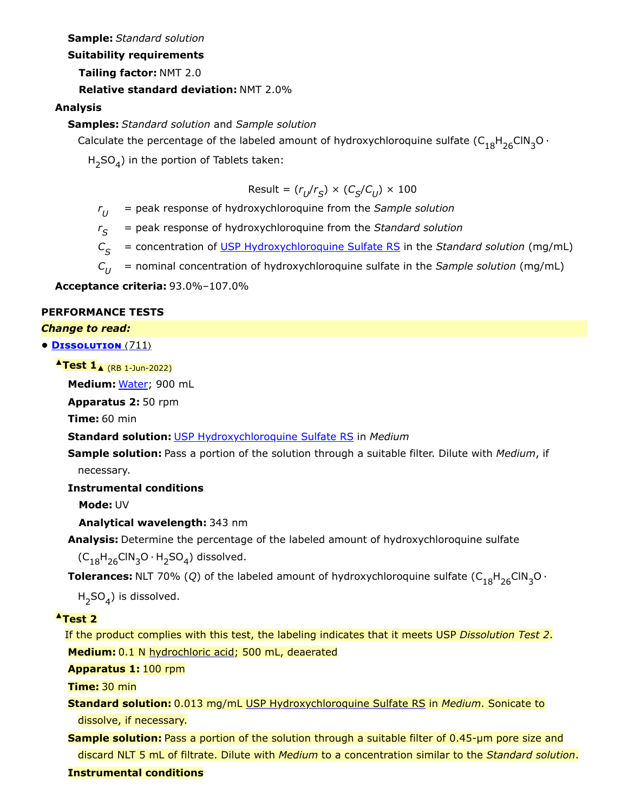**Sample:** *Standard solution*

**Suitability requirements**

**Tailing factor:** NMT 2.0

**Relative standard deviation:** NMT 2.0%

**Analysis**

**Samples:** *Standard solution* and *Sample solution*

Calculate the percentage of the labeled amount of hydroxychloroquine sulfate  $\mathsf{(C_{18}H_{26}ClN_{3}O\cdot}$ 

 $H_2SO_4$ ) in the portion of Tablets taken:

$$
\text{Result} = (r_{U}/r_{S}) \times (C_{S}/C_{U}) \times 100
$$

 $r_{U}$  = peak response of hydroxychloroquine from the *Sample solution* 

*r* = peak response of hydroxychloroquine from the *Standard solution S*

 $C_{\mathcal{S}}$  = concentration of <u>USP Hydroxychloroquine Sulfate RS</u> in the *Standard solution* (mg/mL)

*C* = nominal concentration of hydroxychloroquine sulfate in the *Sample solution* (mg/mL)  $C_{II}$ 

**Acceptance criteria:** 93.0%–107.0%

#### **PERFORMANCE TESTS**

*Change to read:*

#### **• Dissolution** 〈711〉

**▲Test 1**▲ (RB 1-Jun-2022)

**Medium:** Water; 900 mL

**Apparatus 2:** 50 rpm

**Time:** 60 min

**Standard solution:** [USP Hydroxychloroquine Sulfate RS](https://store.usp.org/searchresults?Ntt=1327000&searchType=simple&type=search) in *Medium*

**Sample solution:** Pass a portion of the solution through a suitable filter. Dilute with *Medium*, if necessary.

**Instrumental conditions**

**Mode:** UV

**Analytical wavelength:** 343 nm

**Analysis:** Determine the percentage of the labeled amount of hydroxychloroquine sulfate

 $(\mathsf{C}_{18}\mathsf{H}_{26}\mathsf{CIN}_3\mathsf{O}\cdot\mathsf{H}_2\mathsf{SO}_4)$  dissolved.

**Tolerances:** NLT 70% (Q) of the labeled amount of hydroxychloroquine sulfate  $\text{(C}_{18}\text{H}_{26}\text{CIN}_3\text{O} \cdot$ 

 $H_{2}SO_{4}$ ) is dissolved.

#### **▲Test 2**

If the product complies with this test, the labeling indicates that it meets USP *Dissolution Test 2*. **Medium:** 0.1 N hydrochloric acid; 500 mL, deaerated

**Apparatus 1:** 100 rpm

**Time:** 30 min

**Standard solution:** 0.013 mg/mL [USP Hydroxychloroquine Sulfate RS](https://store.usp.org/searchresults?Ntt=1327000&searchType=simple&type=search) in *Medium*. Sonicate to dissolve, if necessary.

**Sample solution:** Pass a portion of the solution through a suitable filter of 0.45-µm pore size and discard NLT 5 mL of filtrate. Dilute with *Medium* to a concentration similar to the *Standard solution*.

## **Instrumental conditions**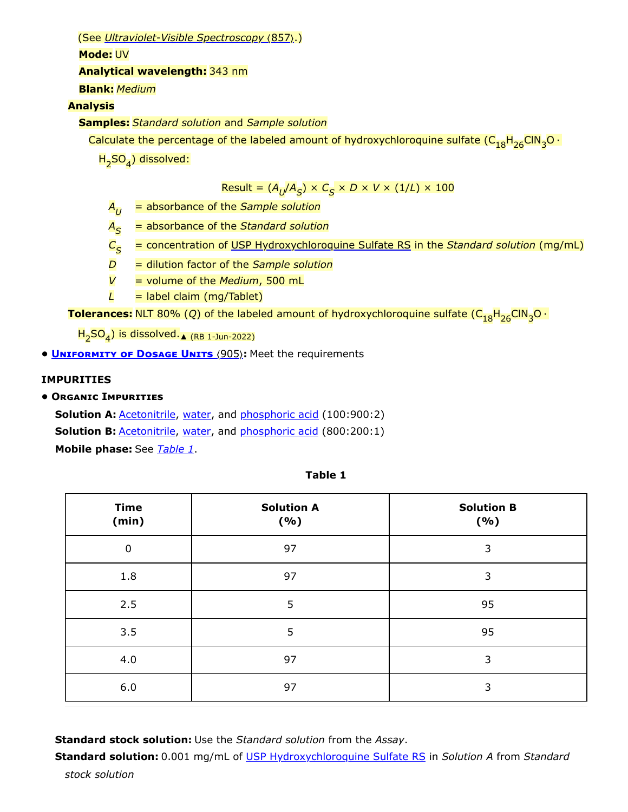(See *Ultraviolet-Visible Spectroscopy* 〈857〉.)

**Mode:** UV

#### **Analytical wavelength:** 343 nm

**Blank:** *Medium*

## **Analysis**

**Samples:** *Standard solution* and *Sample solution*

Calculate the percentage of the labeled amount of hydroxychloroquine sulfate (C<sub>18</sub>H<sub>26</sub>ClN<sub>3</sub>O ·

H<sub>2</sub>SO<sub>4</sub>) dissolved:

 $\textsf{Result} = (\mathcal{A}_{U}/\mathcal{A}_{S}) \times \mathcal{C}_{S} \times D \times V \times (1/L) \times 1000$ 

- $A_{U}$  = absorbance of the *Sample solution*
- *A* = absorbance of the *Standard solution S*
- $\mathcal{C}_{\mathcal{\mathbf{S}}}$  = concentration of <u>USP Hydroxychloroquine Sulfate RS</u> in the *Standard solution* (mg/mL)
- *D* = dilution factor of the *Sample solution*
- *V* = volume of the *Medium*, 500 mL
- $L =$  label claim (mg/Tablet)

**Tolerances:** NLT 80% (Q) of the labeled amount of hydroxychloroquine sulfate (C<sub>18</sub>H<sub>26</sub>ClN<sub>3</sub>O ·

 $\textsf{H}_{\textsf{2}}\textsf{SO}_{\textsf{4}}$ ) is dissolved.<sub>▲ (RB 1-Jun-2022)</sub>

**• UNIFORMITY OF DOSAGE UNITS** (905): Meet the requirements

## **IMPURITIES**

## **• Organic Impurities**

**Solution A: Acetonitrile, water, and phosphoric acid (100:900:2) Solution B: Acetonitrile, water, and phosphoric acid (800:200:1) Mobile phase:** See *[Table 1](#page-3-0)*.

<span id="page-3-0"></span>

| <b>Time</b><br>(min) | <b>Solution A</b><br>(%) | <b>Solution B</b><br>( %) |  |
|----------------------|--------------------------|---------------------------|--|
| $\mathbf 0$          | 97                       | 3                         |  |
| 1.8                  | 97                       | 3                         |  |
| 2.5                  | 5                        | 95                        |  |
| 3.5                  | 5                        | 95                        |  |
| 4.0                  | 97                       | 3                         |  |
| 6.0                  | 97                       | 3                         |  |

**Standard stock solution:** Use the *Standard solution* from the *Assay*.

**Standard solution:** 0.001 mg/mL of [USP Hydroxychloroquine Sulfate RS](https://store.usp.org/searchresults?Ntt=1327000&searchType=simple&type=search) in *Solution A* from *Standard*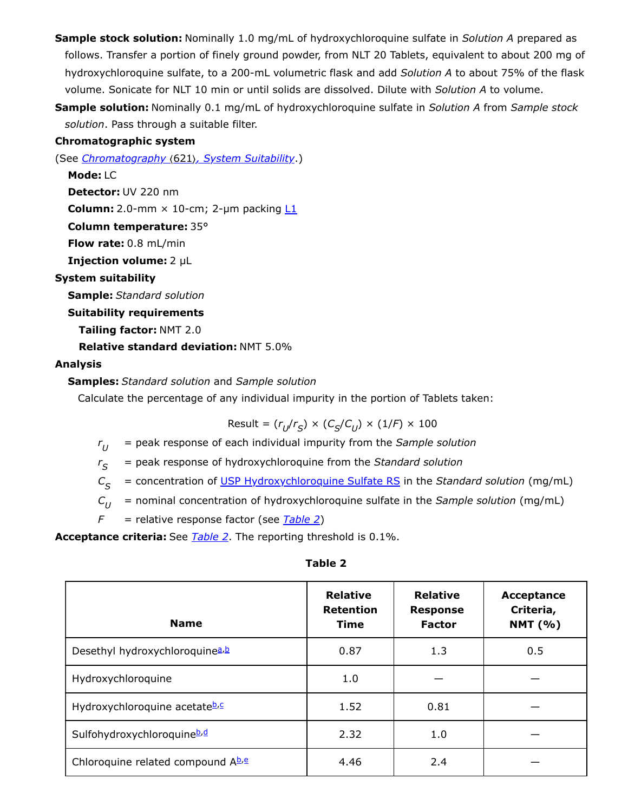- **Sample stock solution:** Nominally 1.0 mg/mL of hydroxychloroquine sulfate in *Solution A* prepared as follows. Transfer a portion of finely ground powder, from NLT 20 Tablets, equivalent to about 200 mg of hydroxychloroquine sulfate, to a 200-mL volumetric flask and add *Solution A* to about 75% of the flask volume. Sonicate for NLT 10 min or until solids are dissolved. Dilute with *Solution A* to volume.
- **Sample solution:** Nominally 0.1 mg/mL of hydroxychloroquine sulfate in *Solution A* from *Sample stock solution*. Pass through a suitable filter.

## **Chromatographic system**

(See *Chromatography* 〈621〉*, System Suitability*.)

**Mode:** LC **Detector:** UV 220 nm

**Column:** 2.0-mm  $\times$  10-cm; 2-µm packing  $L1$ 

**Column temperature:** 35°

**Flow rate:** 0.8 mL/min

**Injection volume:** 2 µL

## **System suitability**

**Sample:** *Standard solution*

## **Suitability requirements**

**Tailing factor:** NMT 2.0

**Relative standard deviation:** NMT 5.0%

## **Analysis**

**Samples:** *Standard solution* and *Sample solution*

Calculate the percentage of any individual impurity in the portion of Tablets taken:

$$
\text{Result} = (r_{U}/r_{S}) \times (C_{S}/C_{U}) \times (1/F) \times 100
$$

*r* = peak response of each individual impurity from the *Sample solution*  $r_{U}$ 

*r* = peak response of hydroxychloroquine from the *Standard solution*  $r_{\varsigma}$ 

*C* = concentration of [USP Hydroxychloroquine Sulfate RS](https://store.usp.org/searchresults?Ntt=1327000&searchType=simple&type=search) in the *Standard solution* (mg/mL)  $C_{\varsigma}$ 

- *C* = nominal concentration of hydroxychloroquine sulfate in the *Sample solution* (mg/mL)  $C_{II}$
- *F* = relative response factor (see *[Table 2](#page-4-0)*)

**Acceptance criteria:** See *[Table 2](#page-4-0)*. The reporting threshold is 0.1%.

<span id="page-4-0"></span>

| <b>Name</b>                                 | <b>Relative</b><br><b>Retention</b><br>Time | <b>Relative</b><br><b>Response</b><br><b>Factor</b> | Acceptance<br>Criteria,<br><b>NMT</b> (%) |
|---------------------------------------------|---------------------------------------------|-----------------------------------------------------|-------------------------------------------|
| Desethyl hydroxychloroquine <sup>a, b</sup> | 0.87                                        | 1.3                                                 | 0.5                                       |
| Hydroxychloroquine                          | 1.0                                         |                                                     |                                           |
| Hydroxychloroquine acetateb.c               | 1.52                                        | 0.81                                                |                                           |
| Sulfohydroxychloroquineb,d                  | 2.32                                        | 1.0                                                 |                                           |
| Chloroquine related compound Ab.e           | 4.46                                        | 2.4                                                 |                                           |

#### **Table 2**